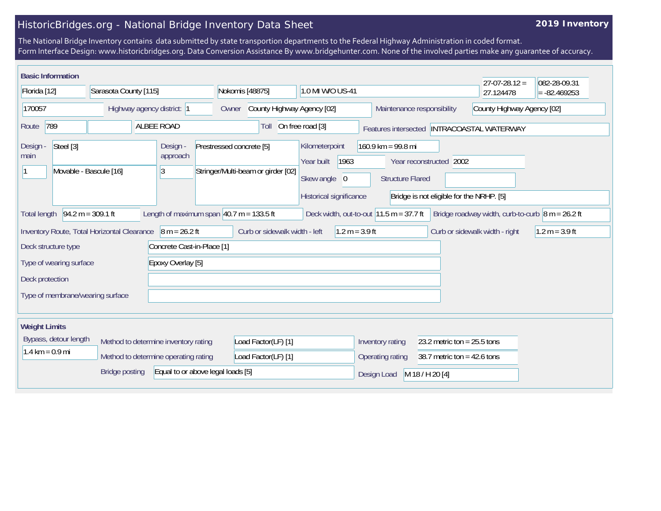## HistoricBridges.org - National Bridge Inventory Data Sheet

## **2019 Inventory**

The National Bridge Inventory contains data submitted by state transportion departments to the Federal Highway Administration in coded format. Form Interface Design: www.historicbridges.org. Data Conversion Assistance By www.bridgehunter.com. None of the involved parties make any guarantee of accuracy.

| <b>Basic Information</b>                                                                                                                                                                          |                                                                   |                            |  |                                                                                                                                                                   |                                     |                            |                                                                                                                        |                                |                                                          |           | $27 - 07 - 28.12 =$ | 082-28-09.31 |
|---------------------------------------------------------------------------------------------------------------------------------------------------------------------------------------------------|-------------------------------------------------------------------|----------------------------|--|-------------------------------------------------------------------------------------------------------------------------------------------------------------------|-------------------------------------|----------------------------|------------------------------------------------------------------------------------------------------------------------|--------------------------------|----------------------------------------------------------|-----------|---------------------|--------------|
| Florida [12]                                                                                                                                                                                      |                                                                   | Sarasota County [115]      |  |                                                                                                                                                                   | Nokomis [48875]<br>1.0 MI W/O US-41 |                            |                                                                                                                        |                                |                                                          | 27.124478 | $= -82.469253$      |              |
| 170057                                                                                                                                                                                            |                                                                   | Highway agency district: 1 |  |                                                                                                                                                                   | Owner                               | County Highway Agency [02] |                                                                                                                        |                                | County Highway Agency [02]<br>Maintenance responsibility |           |                     |              |
| 789<br><b>ALBEE ROAD</b><br>Route                                                                                                                                                                 |                                                                   |                            |  | Toll                                                                                                                                                              | On free road [3]                    |                            |                                                                                                                        |                                | Features intersected INTRACOASTAL WATERWAY               |           |                     |              |
| Design -<br>main                                                                                                                                                                                  | Steel [3]<br>Design -<br>approach<br>Movable - Bascule [16]<br>13 |                            |  | Prestressed concrete [5]<br>Kilometerpoint<br>1963<br>Year built<br>Stringer/Multi-beam or girder [02]<br>Skew angle<br>$\overline{0}$<br>Historical significance |                                     |                            | $160.9$ km = 99.8 mi<br>Year reconstructed 2002<br><b>Structure Flared</b><br>Bridge is not eligible for the NRHP. [5] |                                |                                                          |           |                     |              |
| $94.2 m = 309.1 ft$<br>Length of maximum span $40.7$ m = 133.5 ft<br>Deck width, out-to-out $11.5 m = 37.7 ft$<br>Bridge roadway width, curb-to-curb $\vert$ 8 m = 26.2 ft<br><b>Total length</b> |                                                                   |                            |  |                                                                                                                                                                   |                                     |                            |                                                                                                                        |                                |                                                          |           |                     |              |
| Curb or sidewalk width - left<br>$1.2 m = 3.9 ft$<br>Inventory Route, Total Horizontal Clearance<br>$8 m = 26.2 ft$<br>Curb or sidewalk width - right<br>$1.2 m = 3.9 ft$                         |                                                                   |                            |  |                                                                                                                                                                   |                                     |                            |                                                                                                                        |                                |                                                          |           |                     |              |
| Concrete Cast-in-Place [1]<br>Deck structure type                                                                                                                                                 |                                                                   |                            |  |                                                                                                                                                                   |                                     |                            |                                                                                                                        |                                |                                                          |           |                     |              |
| Epoxy Overlay [5]<br>Type of wearing surface                                                                                                                                                      |                                                                   |                            |  |                                                                                                                                                                   |                                     |                            |                                                                                                                        |                                |                                                          |           |                     |              |
| Deck protection                                                                                                                                                                                   |                                                                   |                            |  |                                                                                                                                                                   |                                     |                            |                                                                                                                        |                                |                                                          |           |                     |              |
| Type of membrane/wearing surface                                                                                                                                                                  |                                                                   |                            |  |                                                                                                                                                                   |                                     |                            |                                                                                                                        |                                |                                                          |           |                     |              |
| <b>Weight Limits</b>                                                                                                                                                                              |                                                                   |                            |  |                                                                                                                                                                   |                                     |                            |                                                                                                                        |                                |                                                          |           |                     |              |
| Bypass, detour length<br>Method to determine inventory rating<br>$1.4 \text{ km} = 0.9 \text{ mi}$<br>Method to determine operating rating                                                        |                                                                   |                            |  | Load Factor(LF) [1]<br>Load Factor(LF) [1]                                                                                                                        |                                     |                            | Inventory rating                                                                                                       | 23.2 metric ton = $25.5$ tons  |                                                          |           |                     |              |
|                                                                                                                                                                                                   |                                                                   |                            |  |                                                                                                                                                                   |                                     |                            | Operating rating<br>38.7 metric ton = $42.6$ tons                                                                      |                                |                                                          |           |                     |              |
| Equal to or above legal loads [5]<br><b>Bridge posting</b>                                                                                                                                        |                                                                   |                            |  |                                                                                                                                                                   |                                     |                            |                                                                                                                        | M 18 / H 20 [4]<br>Design Load |                                                          |           |                     |              |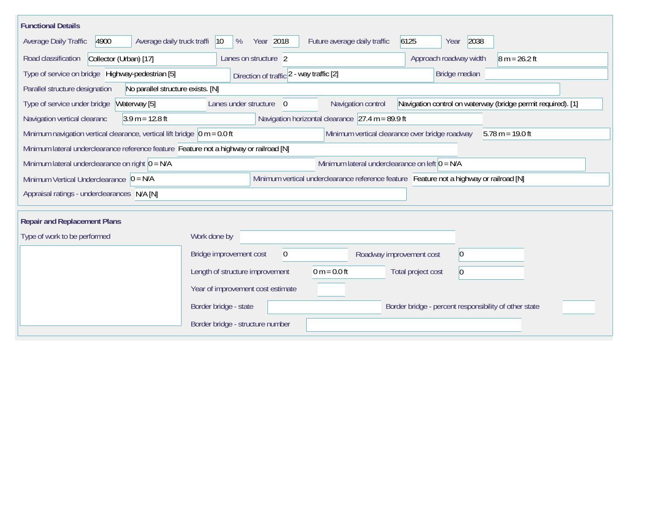| <b>Functional Details</b>                                                                                      |                                                                                                                                                          |                                                                                         |                                   |  |  |  |  |  |  |
|----------------------------------------------------------------------------------------------------------------|----------------------------------------------------------------------------------------------------------------------------------------------------------|-----------------------------------------------------------------------------------------|-----------------------------------|--|--|--|--|--|--|
| Average Daily Traffic<br>4900<br>Average daily truck traffi                                                    | Year 2018<br>$ 10\rangle$<br>%                                                                                                                           | Future average daily traffic                                                            | 6125<br>2038<br>Year              |  |  |  |  |  |  |
| Road classification<br>Collector (Urban) [17]                                                                  | Approach roadway width                                                                                                                                   | $8 m = 26.2 ft$                                                                         |                                   |  |  |  |  |  |  |
| Type of service on bridge Highway-pedestrian [5]                                                               | Direction of traffic 2 - way traffic [2]                                                                                                                 | Bridge median                                                                           |                                   |  |  |  |  |  |  |
| Parallel structure designation<br>No parallel structure exists. [N]                                            |                                                                                                                                                          |                                                                                         |                                   |  |  |  |  |  |  |
| Type of service under bridge<br>Waterway [5]                                                                   | Navigation control on waterway (bridge permit required). [1]                                                                                             |                                                                                         |                                   |  |  |  |  |  |  |
| Navigation horizontal clearance $\sqrt{27.4}$ m = 89.9 ft<br>$3.9 m = 12.8 ft$<br>Navigation vertical clearanc |                                                                                                                                                          |                                                                                         |                                   |  |  |  |  |  |  |
|                                                                                                                | Minimum navigation vertical clearance, vertical lift bridge $\vert$ 0 m = 0.0 ft<br>Minimum vertical clearance over bridge roadway<br>$5.78 m = 19.0 ft$ |                                                                                         |                                   |  |  |  |  |  |  |
| Minimum lateral underclearance reference feature Feature not a highway or railroad [N]                         |                                                                                                                                                          |                                                                                         |                                   |  |  |  |  |  |  |
| Minimum lateral underclearance on left $0 = N/A$<br>Minimum lateral underclearance on right $0 = N/A$          |                                                                                                                                                          |                                                                                         |                                   |  |  |  |  |  |  |
| Minimum Vertical Underclearance $0 = N/A$                                                                      |                                                                                                                                                          | Minimum vertical underclearance reference feature Feature not a highway or railroad [N] |                                   |  |  |  |  |  |  |
| Appraisal ratings - underclearances N/A [N]                                                                    |                                                                                                                                                          |                                                                                         |                                   |  |  |  |  |  |  |
|                                                                                                                |                                                                                                                                                          |                                                                                         |                                   |  |  |  |  |  |  |
| <b>Repair and Replacement Plans</b>                                                                            |                                                                                                                                                          |                                                                                         |                                   |  |  |  |  |  |  |
| Type of work to be performed                                                                                   | Work done by                                                                                                                                             |                                                                                         |                                   |  |  |  |  |  |  |
|                                                                                                                | Bridge improvement cost<br>$\mathbf 0$                                                                                                                   | Roadway improvement cost                                                                | $ 0\rangle$                       |  |  |  |  |  |  |
|                                                                                                                | Length of structure improvement                                                                                                                          | $0 m = 0.0 ft$                                                                          | Total project cost<br>$ 0\rangle$ |  |  |  |  |  |  |
|                                                                                                                | Year of improvement cost estimate                                                                                                                        |                                                                                         |                                   |  |  |  |  |  |  |
|                                                                                                                | Border bridge - state<br>Border bridge - percent responsibility of other state                                                                           |                                                                                         |                                   |  |  |  |  |  |  |
|                                                                                                                | Border bridge - structure number                                                                                                                         |                                                                                         |                                   |  |  |  |  |  |  |